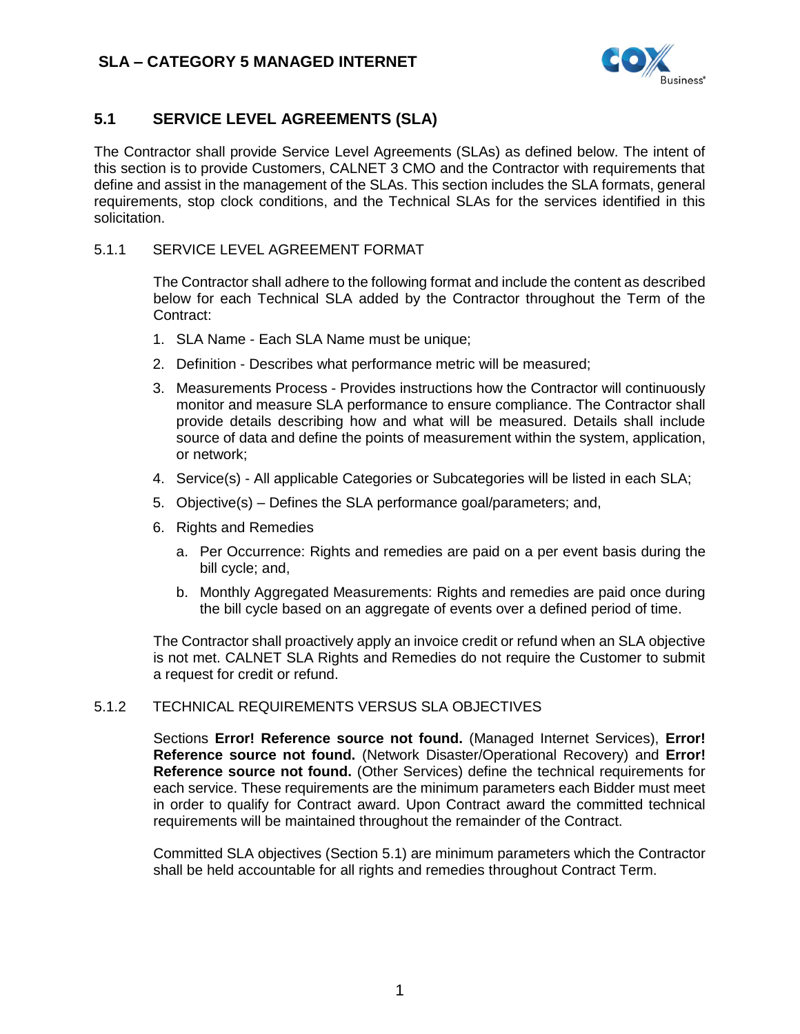

## <span id="page-0-0"></span>**5.1 SERVICE LEVEL AGREEMENTS (SLA)**

The Contractor shall provide Service Level Agreements (SLAs) as defined below. The intent of this section is to provide Customers, CALNET 3 CMO and the Contractor with requirements that define and assist in the management of the SLAs. This section includes the SLA formats, general requirements, stop clock conditions, and the Technical SLAs for the services identified in this solicitation.

#### 5.1.1 SERVICE LEVEL AGREEMENT FORMAT

The Contractor shall adhere to the following format and include the content as described below for each Technical SLA added by the Contractor throughout the Term of the Contract:

- 1. SLA Name Each SLA Name must be unique;
- 2. Definition Describes what performance metric will be measured;
- 3. Measurements Process Provides instructions how the Contractor will continuously monitor and measure SLA performance to ensure compliance. The Contractor shall provide details describing how and what will be measured. Details shall include source of data and define the points of measurement within the system, application, or network;
- 4. Service(s) All applicable Categories or Subcategories will be listed in each SLA;
- 5. Objective(s) Defines the SLA performance goal/parameters; and,
- 6. Rights and Remedies
	- a. Per Occurrence: Rights and remedies are paid on a per event basis during the bill cycle; and,
	- b. Monthly Aggregated Measurements: Rights and remedies are paid once during the bill cycle based on an aggregate of events over a defined period of time.

The Contractor shall proactively apply an invoice credit or refund when an SLA objective is not met. CALNET SLA Rights and Remedies do not require the Customer to submit a request for credit or refund.

### 5.1.2 TECHNICAL REQUIREMENTS VERSUS SLA OBJECTIVES

Sections **Error! Reference source not found.** (Managed Internet Services), **Error! Reference source not found.** (Network Disaster/Operational Recovery) and **Error! Reference source not found.** (Other Services) define the technical requirements for each service. These requirements are the minimum parameters each Bidder must meet in order to qualify for Contract award. Upon Contract award the committed technical requirements will be maintained throughout the remainder of the Contract.

Committed SLA objectives (Section [5.1\)](#page-0-0) are minimum parameters which the Contractor shall be held accountable for all rights and remedies throughout Contract Term.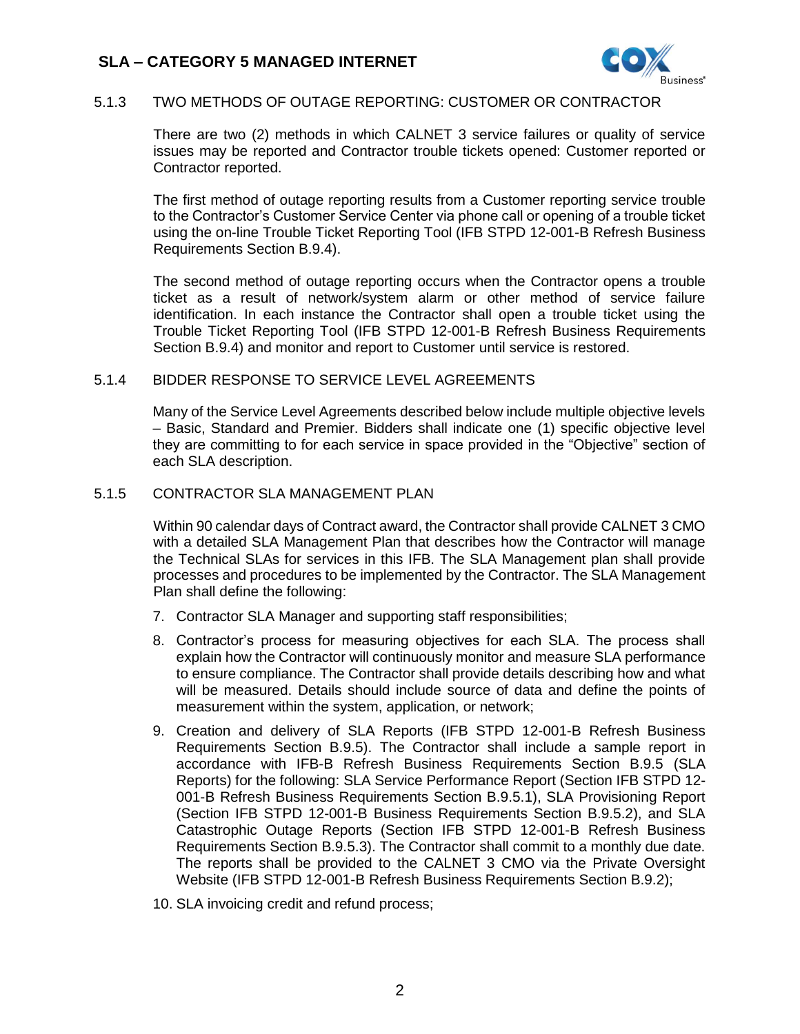

### 5.1.3 TWO METHODS OF OUTAGE REPORTING: CUSTOMER OR CONTRACTOR

There are two (2) methods in which CALNET 3 service failures or quality of service issues may be reported and Contractor trouble tickets opened: Customer reported or Contractor reported.

The first method of outage reporting results from a Customer reporting service trouble to the Contractor's Customer Service Center via phone call or opening of a trouble ticket using the on-line Trouble Ticket Reporting Tool (IFB STPD 12-001-B Refresh Business Requirements Section B.9.4).

The second method of outage reporting occurs when the Contractor opens a trouble ticket as a result of network/system alarm or other method of service failure identification. In each instance the Contractor shall open a trouble ticket using the Trouble Ticket Reporting Tool (IFB STPD 12-001-B Refresh Business Requirements Section B.9.4) and monitor and report to Customer until service is restored.

#### 5.1.4 BIDDER RESPONSE TO SERVICE LEVEL AGREEMENTS

Many of the Service Level Agreements described below include multiple objective levels – Basic, Standard and Premier. Bidders shall indicate one (1) specific objective level they are committing to for each service in space provided in the "Objective" section of each SLA description.

#### 5.1.5 CONTRACTOR SLA MANAGEMENT PLAN

Within 90 calendar days of Contract award, the Contractor shall provide CALNET 3 CMO with a detailed SLA Management Plan that describes how the Contractor will manage the Technical SLAs for services in this IFB. The SLA Management plan shall provide processes and procedures to be implemented by the Contractor. The SLA Management Plan shall define the following:

- 7. Contractor SLA Manager and supporting staff responsibilities;
- 8. Contractor's process for measuring objectives for each SLA. The process shall explain how the Contractor will continuously monitor and measure SLA performance to ensure compliance. The Contractor shall provide details describing how and what will be measured. Details should include source of data and define the points of measurement within the system, application, or network;
- 9. Creation and delivery of SLA Reports (IFB STPD 12-001-B Refresh Business Requirements Section B.9.5). The Contractor shall include a sample report in accordance with IFB-B Refresh Business Requirements Section B.9.5 (SLA Reports) for the following: SLA Service Performance Report (Section IFB STPD 12- 001-B Refresh Business Requirements Section B.9.5.1), SLA Provisioning Report (Section IFB STPD 12-001-B Business Requirements Section B.9.5.2), and SLA Catastrophic Outage Reports (Section IFB STPD 12-001-B Refresh Business Requirements Section B.9.5.3). The Contractor shall commit to a monthly due date. The reports shall be provided to the CALNET 3 CMO via the Private Oversight Website (IFB STPD 12-001-B Refresh Business Requirements Section B.9.2);
- 10. SLA invoicing credit and refund process;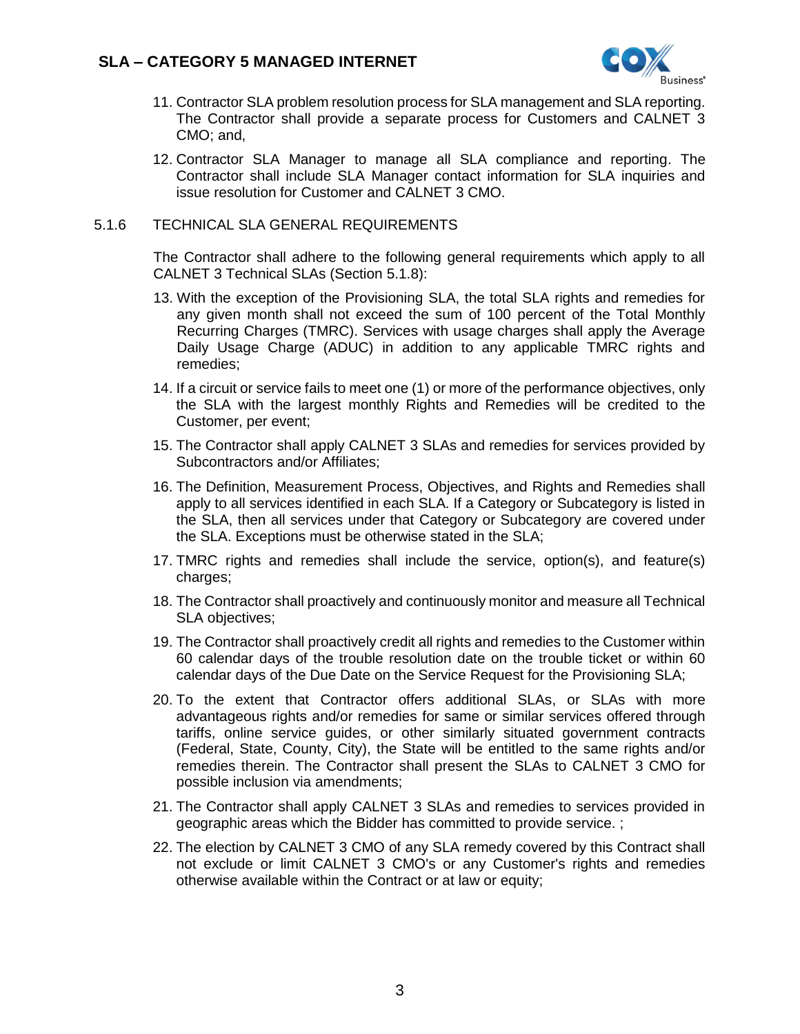

- 11. Contractor SLA problem resolution process for SLA management and SLA reporting. The Contractor shall provide a separate process for Customers and CALNET 3 CMO; and,
- 12. Contractor SLA Manager to manage all SLA compliance and reporting. The Contractor shall include SLA Manager contact information for SLA inquiries and issue resolution for Customer and CALNET 3 CMO.

#### 5.1.6 TECHNICAL SLA GENERAL REQUIREMENTS

The Contractor shall adhere to the following general requirements which apply to all CALNET 3 Technical SLAs (Section [5.1.8\)](#page-7-0):

- 13. With the exception of the Provisioning SLA, the total SLA rights and remedies for any given month shall not exceed the sum of 100 percent of the Total Monthly Recurring Charges (TMRC). Services with usage charges shall apply the Average Daily Usage Charge (ADUC) in addition to any applicable TMRC rights and remedies;
- 14. If a circuit or service fails to meet one (1) or more of the performance objectives, only the SLA with the largest monthly Rights and Remedies will be credited to the Customer, per event;
- 15. The Contractor shall apply CALNET 3 SLAs and remedies for services provided by Subcontractors and/or Affiliates;
- 16. The Definition, Measurement Process, Objectives, and Rights and Remedies shall apply to all services identified in each SLA. If a Category or Subcategory is listed in the SLA, then all services under that Category or Subcategory are covered under the SLA. Exceptions must be otherwise stated in the SLA;
- 17. TMRC rights and remedies shall include the service, option(s), and feature(s) charges;
- 18. The Contractor shall proactively and continuously monitor and measure all Technical SLA objectives;
- 19. The Contractor shall proactively credit all rights and remedies to the Customer within 60 calendar days of the trouble resolution date on the trouble ticket or within 60 calendar days of the Due Date on the Service Request for the Provisioning SLA;
- 20. To the extent that Contractor offers additional SLAs, or SLAs with more advantageous rights and/or remedies for same or similar services offered through tariffs, online service guides, or other similarly situated government contracts (Federal, State, County, City), the State will be entitled to the same rights and/or remedies therein. The Contractor shall present the SLAs to CALNET 3 CMO for possible inclusion via amendments;
- 21. The Contractor shall apply CALNET 3 SLAs and remedies to services provided in geographic areas which the Bidder has committed to provide service. ;
- 22. The election by CALNET 3 CMO of any SLA remedy covered by this Contract shall not exclude or limit CALNET 3 CMO's or any Customer's rights and remedies otherwise available within the Contract or at law or equity;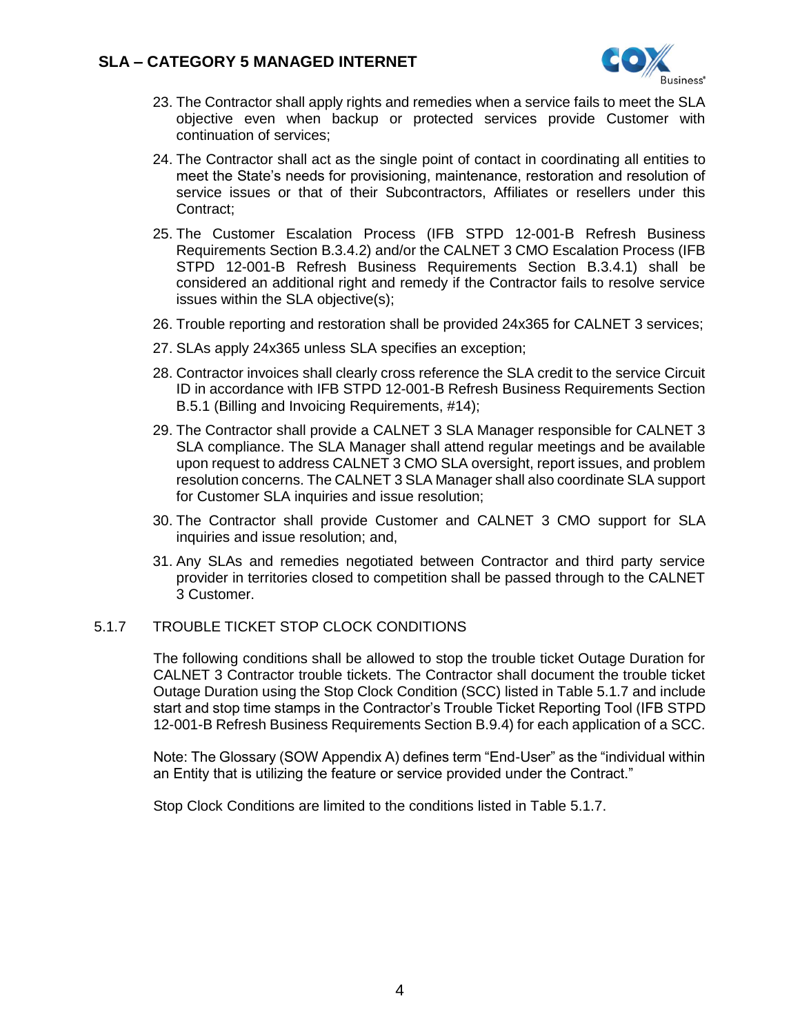

- 23. The Contractor shall apply rights and remedies when a service fails to meet the SLA objective even when backup or protected services provide Customer with continuation of services;
- 24. The Contractor shall act as the single point of contact in coordinating all entities to meet the State's needs for provisioning, maintenance, restoration and resolution of service issues or that of their Subcontractors, Affiliates or resellers under this Contract;
- 25. The Customer Escalation Process (IFB STPD 12-001-B Refresh Business Requirements Section B.3.4.2) and/or the CALNET 3 CMO Escalation Process (IFB STPD 12-001-B Refresh Business Requirements Section B.3.4.1) shall be considered an additional right and remedy if the Contractor fails to resolve service issues within the SLA objective(s);
- 26. Trouble reporting and restoration shall be provided 24x365 for CALNET 3 services;
- 27. SLAs apply 24x365 unless SLA specifies an exception;
- 28. Contractor invoices shall clearly cross reference the SLA credit to the service Circuit ID in accordance with IFB STPD 12-001-B Refresh Business Requirements Section B.5.1 (Billing and Invoicing Requirements, #14);
- 29. The Contractor shall provide a CALNET 3 SLA Manager responsible for CALNET 3 SLA compliance. The SLA Manager shall attend regular meetings and be available upon request to address CALNET 3 CMO SLA oversight, report issues, and problem resolution concerns. The CALNET 3 SLA Manager shall also coordinate SLA support for Customer SLA inquiries and issue resolution;
- 30. The Contractor shall provide Customer and CALNET 3 CMO support for SLA inquiries and issue resolution; and,
- 31. Any SLAs and remedies negotiated between Contractor and third party service provider in territories closed to competition shall be passed through to the CALNET 3 Customer.

### <span id="page-3-0"></span>5.1.7 TROUBLE TICKET STOP CLOCK CONDITIONS

The following conditions shall be allowed to stop the trouble ticket Outage Duration for CALNET 3 Contractor trouble tickets. The Contractor shall document the trouble ticket Outage Duration using the Stop Clock Condition (SCC) listed in Tabl[e 5.1.7](#page-3-0) and include start and stop time stamps in the Contractor's Trouble Ticket Reporting Tool (IFB STPD 12-001-B Refresh Business Requirements Section B.9.4) for each application of a SCC.

Note: The Glossary (SOW Appendix A) defines term "End-User" as the "individual within an Entity that is utilizing the feature or service provided under the Contract."

Stop Clock Conditions are limited to the conditions listed in Table [5.1.7.](#page-3-0)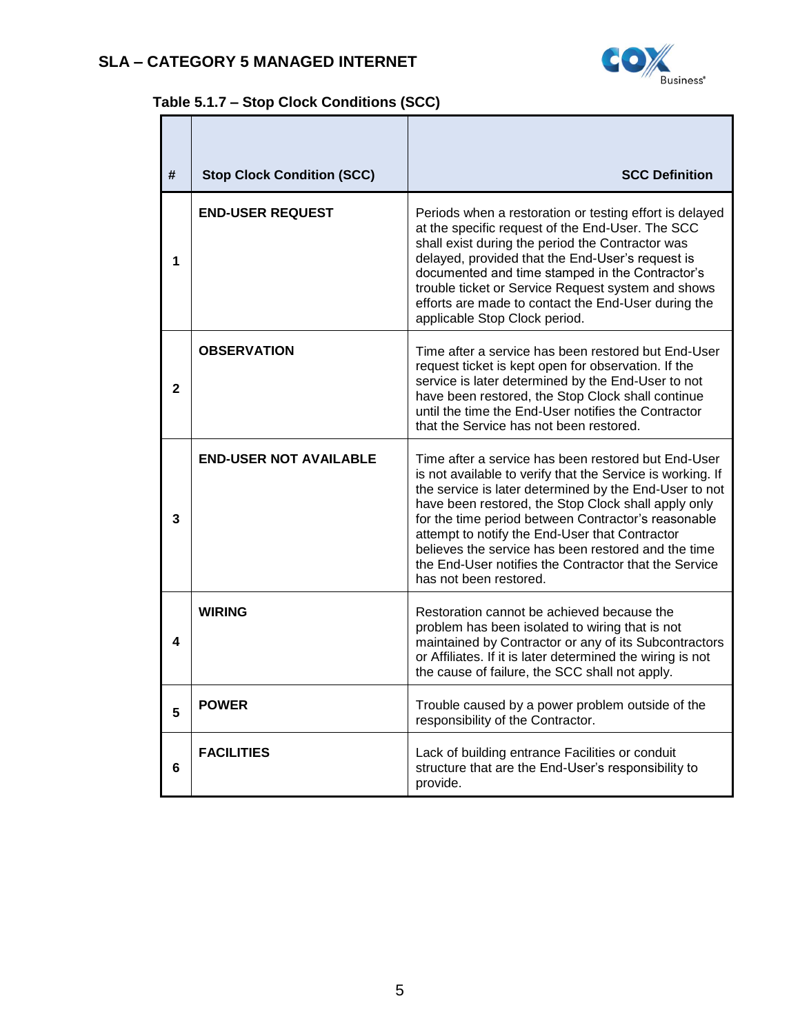$\mathbf{r}$ 



# **Table [5.1.7](#page-3-0) – Stop Clock Conditions (SCC)**

| #            | <b>Stop Clock Condition (SCC)</b> | <b>SCC Definition</b>                                                                                                                                                                                                                                                                                                                                                                                                                                                                 |
|--------------|-----------------------------------|---------------------------------------------------------------------------------------------------------------------------------------------------------------------------------------------------------------------------------------------------------------------------------------------------------------------------------------------------------------------------------------------------------------------------------------------------------------------------------------|
| 1            | <b>END-USER REQUEST</b>           | Periods when a restoration or testing effort is delayed<br>at the specific request of the End-User. The SCC<br>shall exist during the period the Contractor was<br>delayed, provided that the End-User's request is<br>documented and time stamped in the Contractor's<br>trouble ticket or Service Request system and shows<br>efforts are made to contact the End-User during the<br>applicable Stop Clock period.                                                                  |
| $\mathbf{2}$ | <b>OBSERVATION</b>                | Time after a service has been restored but End-User<br>request ticket is kept open for observation. If the<br>service is later determined by the End-User to not<br>have been restored, the Stop Clock shall continue<br>until the time the End-User notifies the Contractor<br>that the Service has not been restored.                                                                                                                                                               |
| 3            | <b>END-USER NOT AVAILABLE</b>     | Time after a service has been restored but End-User<br>is not available to verify that the Service is working. If<br>the service is later determined by the End-User to not<br>have been restored, the Stop Clock shall apply only<br>for the time period between Contractor's reasonable<br>attempt to notify the End-User that Contractor<br>believes the service has been restored and the time<br>the End-User notifies the Contractor that the Service<br>has not been restored. |
| 4            | <b>WIRING</b>                     | Restoration cannot be achieved because the<br>problem has been isolated to wiring that is not<br>maintained by Contractor or any of its Subcontractors<br>or Affiliates. If it is later determined the wiring is not<br>the cause of failure, the SCC shall not apply.                                                                                                                                                                                                                |
| 5            | <b>POWER</b>                      | Trouble caused by a power problem outside of the<br>responsibility of the Contractor.                                                                                                                                                                                                                                                                                                                                                                                                 |
| 6            | <b>FACILITIES</b>                 | Lack of building entrance Facilities or conduit<br>structure that are the End-User's responsibility to<br>provide.                                                                                                                                                                                                                                                                                                                                                                    |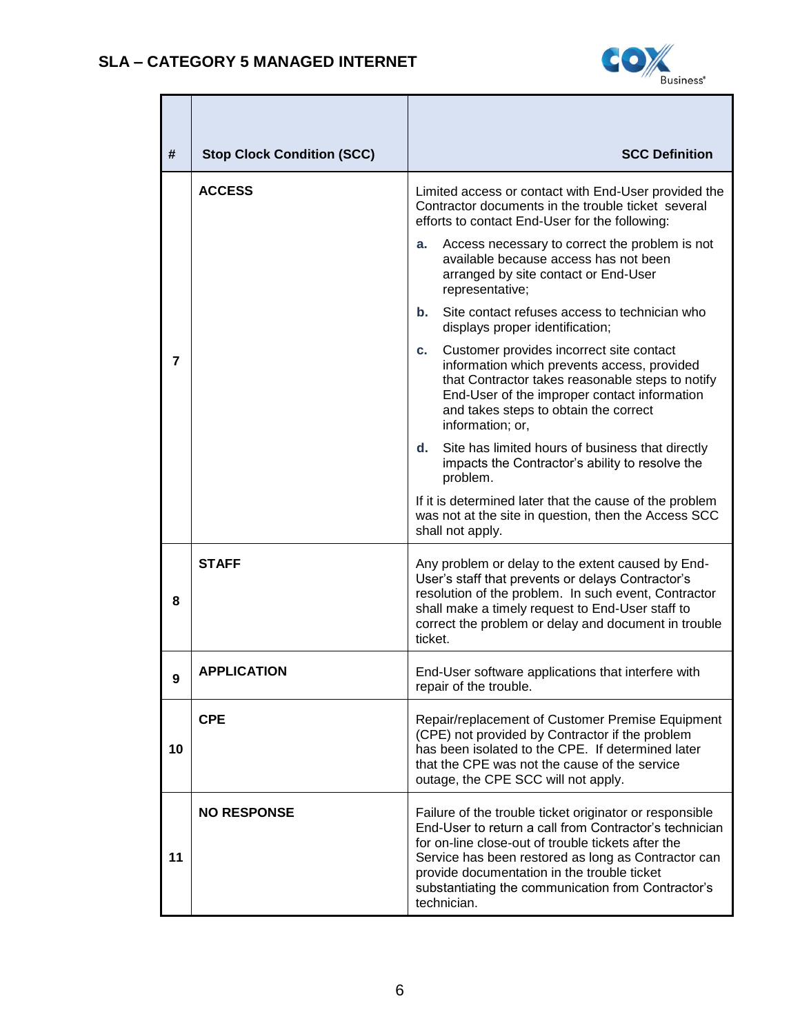

| #  | <b>Stop Clock Condition (SCC)</b> | <b>SCC Definition</b>                                                                                                                                                                                                                                                                                                                              |
|----|-----------------------------------|----------------------------------------------------------------------------------------------------------------------------------------------------------------------------------------------------------------------------------------------------------------------------------------------------------------------------------------------------|
|    | <b>ACCESS</b>                     | Limited access or contact with End-User provided the<br>Contractor documents in the trouble ticket several<br>efforts to contact End-User for the following:                                                                                                                                                                                       |
|    |                                   | Access necessary to correct the problem is not<br>a.<br>available because access has not been<br>arranged by site contact or End-User<br>representative;                                                                                                                                                                                           |
|    |                                   | Site contact refuses access to technician who<br>b.<br>displays proper identification;                                                                                                                                                                                                                                                             |
| 7  |                                   | Customer provides incorrect site contact<br>C.<br>information which prevents access, provided<br>that Contractor takes reasonable steps to notify<br>End-User of the improper contact information<br>and takes steps to obtain the correct<br>information; or,                                                                                     |
|    |                                   | d.<br>Site has limited hours of business that directly<br>impacts the Contractor's ability to resolve the<br>problem.                                                                                                                                                                                                                              |
|    |                                   | If it is determined later that the cause of the problem<br>was not at the site in question, then the Access SCC<br>shall not apply.                                                                                                                                                                                                                |
| 8  | STAFF                             | Any problem or delay to the extent caused by End-<br>User's staff that prevents or delays Contractor's<br>resolution of the problem. In such event, Contractor<br>shall make a timely request to End-User staff to<br>correct the problem or delay and document in trouble<br>ticket.                                                              |
| 9  | <b>APPLICATION</b>                | End-User software applications that interfere with<br>repair of the trouble.                                                                                                                                                                                                                                                                       |
| 10 | <b>CPE</b>                        | Repair/replacement of Customer Premise Equipment<br>(CPE) not provided by Contractor if the problem<br>has been isolated to the CPE. If determined later<br>that the CPE was not the cause of the service<br>outage, the CPE SCC will not apply.                                                                                                   |
| 11 | <b>NO RESPONSE</b>                | Failure of the trouble ticket originator or responsible<br>End-User to return a call from Contractor's technician<br>for on-line close-out of trouble tickets after the<br>Service has been restored as long as Contractor can<br>provide documentation in the trouble ticket<br>substantiating the communication from Contractor's<br>technician. |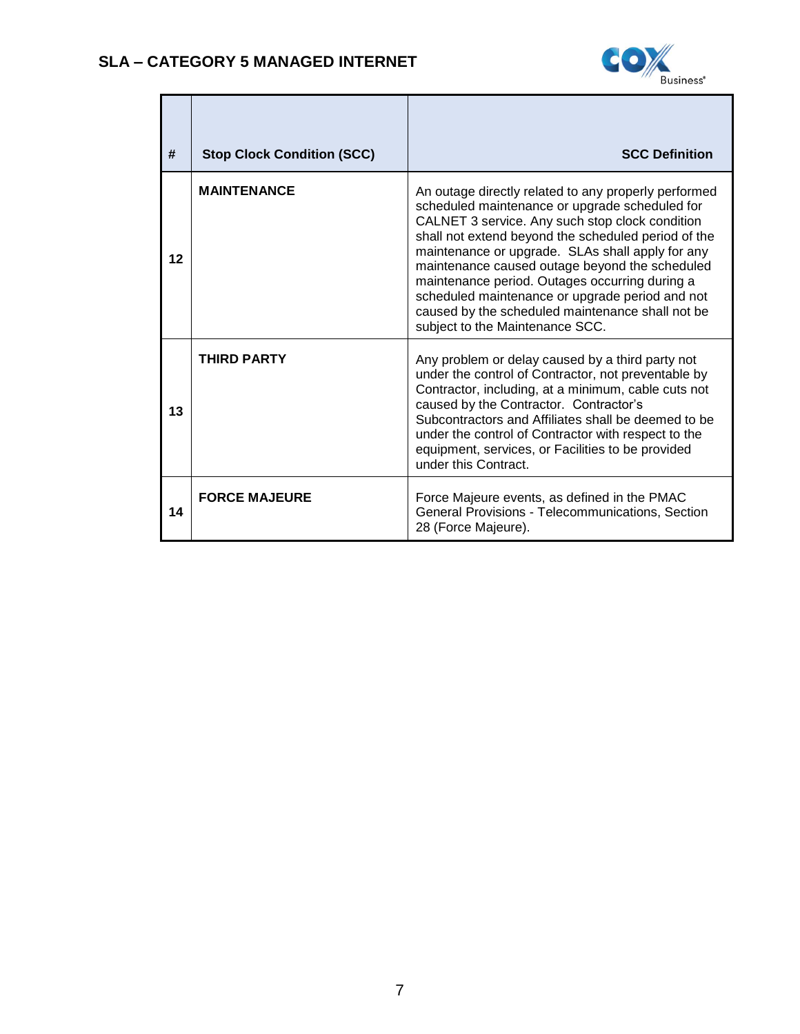

| #  | <b>Stop Clock Condition (SCC)</b> | <b>SCC Definition</b>                                                                                                                                                                                                                                                                                                                                                                                                                                                                                              |
|----|-----------------------------------|--------------------------------------------------------------------------------------------------------------------------------------------------------------------------------------------------------------------------------------------------------------------------------------------------------------------------------------------------------------------------------------------------------------------------------------------------------------------------------------------------------------------|
| 12 | <b>MAINTENANCE</b>                | An outage directly related to any properly performed<br>scheduled maintenance or upgrade scheduled for<br>CALNET 3 service. Any such stop clock condition<br>shall not extend beyond the scheduled period of the<br>maintenance or upgrade. SLAs shall apply for any<br>maintenance caused outage beyond the scheduled<br>maintenance period. Outages occurring during a<br>scheduled maintenance or upgrade period and not<br>caused by the scheduled maintenance shall not be<br>subject to the Maintenance SCC. |
| 13 | <b>THIRD PARTY</b>                | Any problem or delay caused by a third party not<br>under the control of Contractor, not preventable by<br>Contractor, including, at a minimum, cable cuts not<br>caused by the Contractor. Contractor's<br>Subcontractors and Affiliates shall be deemed to be<br>under the control of Contractor with respect to the<br>equipment, services, or Facilities to be provided<br>under this Contract.                                                                                                                |
| 14 | <b>FORCE MAJEURE</b>              | Force Majeure events, as defined in the PMAC<br>General Provisions - Telecommunications, Section<br>28 (Force Majeure).                                                                                                                                                                                                                                                                                                                                                                                            |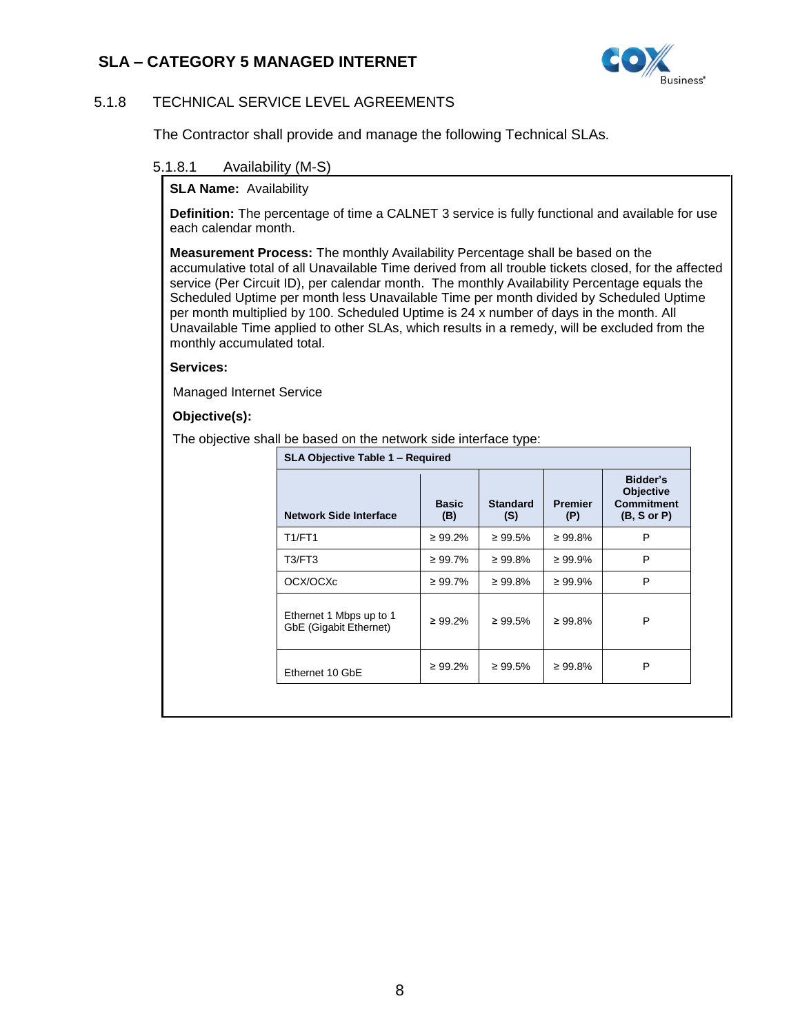

### <span id="page-7-0"></span>5.1.8 TECHNICAL SERVICE LEVEL AGREEMENTS

The Contractor shall provide and manage the following Technical SLAs.

### 5.1.8.1 Availability (M-S)

#### **SLA Name: Availability**

**Definition:** The percentage of time a CALNET 3 service is fully functional and available for use each calendar month.

**Measurement Process:** The monthly Availability Percentage shall be based on the accumulative total of all Unavailable Time derived from all trouble tickets closed, for the affected service (Per Circuit ID), per calendar month. The monthly Availability Percentage equals the Scheduled Uptime per month less Unavailable Time per month divided by Scheduled Uptime per month multiplied by 100. Scheduled Uptime is 24 x number of days in the month. All Unavailable Time applied to other SLAs, which results in a remedy, will be excluded from the monthly accumulated total.

#### **Services:**

Managed Internet Service

#### **Objective(s):**

The objective shall be based on the network side interface type:

| <b>Network Side Interface</b>                     | <b>Basic</b><br>(B) | <b>Standard</b><br>(S) | <b>Premier</b><br>(P) | Bidder's<br>Objective<br><b>Commitment</b><br>(B, S or P) |
|---------------------------------------------------|---------------------|------------------------|-----------------------|-----------------------------------------------------------|
| <b>T1/FT1</b>                                     | $\geq 99.2\%$       | $\geq 99.5\%$          | $\geq 99.8\%$         | P                                                         |
| T3/FT3                                            | ≥ 99.7%             | $\geq 99.8\%$          | $\geq 99.9\%$         | P                                                         |
| OCX/OCXc                                          | $\geq 99.7\%$       | $\geq 99.8\%$          | $\geq 99.9\%$         | P                                                         |
| Ethernet 1 Mbps up to 1<br>GbE (Gigabit Ethernet) | $\geq 99.2\%$       | $\geq 99.5\%$          | $\geq 99.8\%$         | P                                                         |
| Ethernet 10 GbE                                   | $\geq 99.2\%$       | $\geq 99.5\%$          | $\geq 99.8\%$         | P                                                         |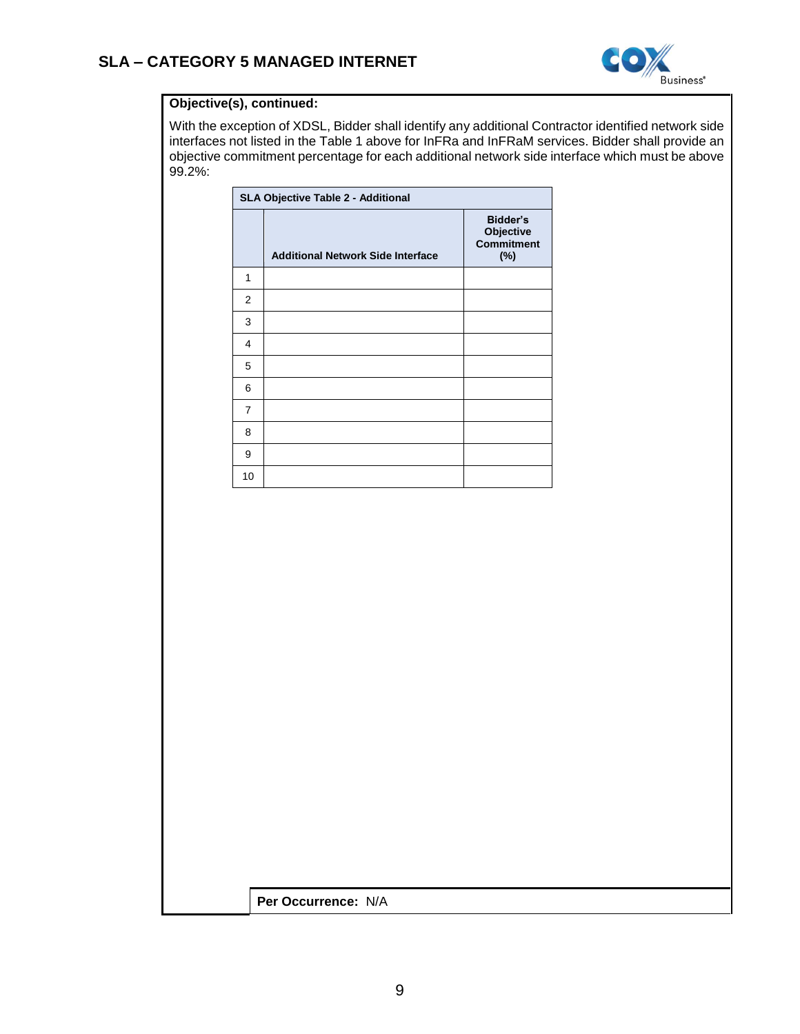

### **Objective(s), continued:**

With the exception of XDSL, Bidder shall identify any additional Contractor identified network side interfaces not listed in the Table 1 above for InFRa and InFRaM services. Bidder shall provide an objective commitment percentage for each additional network side interface which must be above 99.2%:

|                | SLA Objective Table 2 - Additional       |                                                   |  |  |  |  |  |  |
|----------------|------------------------------------------|---------------------------------------------------|--|--|--|--|--|--|
|                | <b>Additional Network Side Interface</b> | Bidder's<br>Objective<br><b>Commitment</b><br>(%) |  |  |  |  |  |  |
| 1              |                                          |                                                   |  |  |  |  |  |  |
| $\overline{2}$ |                                          |                                                   |  |  |  |  |  |  |
| 3              |                                          |                                                   |  |  |  |  |  |  |
| 4              |                                          |                                                   |  |  |  |  |  |  |
| 5              |                                          |                                                   |  |  |  |  |  |  |
| 6              |                                          |                                                   |  |  |  |  |  |  |
| 7              |                                          |                                                   |  |  |  |  |  |  |
| 8              |                                          |                                                   |  |  |  |  |  |  |
| 9              |                                          |                                                   |  |  |  |  |  |  |
| 10             |                                          |                                                   |  |  |  |  |  |  |

**Per Occurrence:** N/A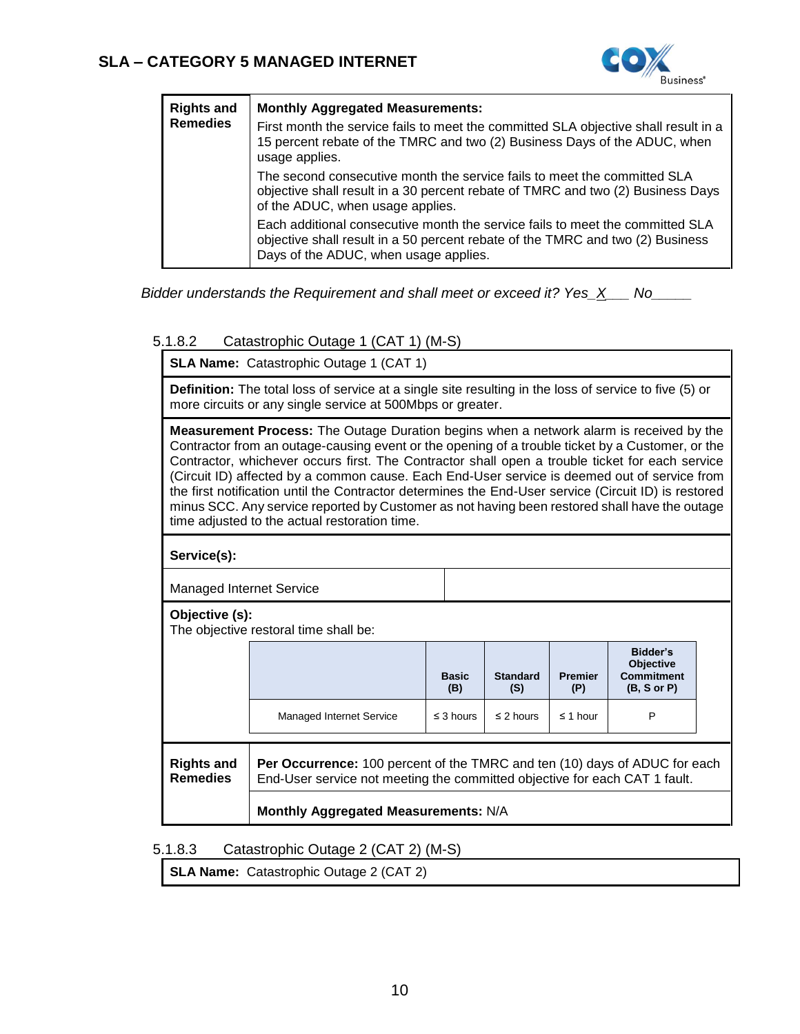

| <b>Rights and</b><br><b>Remedies</b> | <b>Monthly Aggregated Measurements:</b><br>First month the service fails to meet the committed SLA objective shall result in a<br>15 percent rebate of the TMRC and two (2) Business Days of the ADUC, when<br>usage applies. |
|--------------------------------------|-------------------------------------------------------------------------------------------------------------------------------------------------------------------------------------------------------------------------------|
|                                      | The second consecutive month the service fails to meet the committed SLA<br>objective shall result in a 30 percent rebate of TMRC and two (2) Business Days<br>of the ADUC, when usage applies.                               |
|                                      | Each additional consecutive month the service fails to meet the committed SLA<br>objective shall result in a 50 percent rebate of the TMRC and two (2) Business<br>Days of the ADUC, when usage applies.                      |

*Bidder understands the Requirement and shall meet or exceed it? Yes\_X\_\_\_ No\_\_\_\_\_*

### 5.1.8.2 Catastrophic Outage 1 (CAT 1) (M-S)

**SLA Name:** Catastrophic Outage 1 (CAT 1)

**Definition:** The total loss of service at a single site resulting in the loss of service to five (5) or more circuits or any single service at 500Mbps or greater.

**Measurement Process:** The Outage Duration begins when a network alarm is received by the Contractor from an outage-causing event or the opening of a trouble ticket by a Customer, or the Contractor, whichever occurs first. The Contractor shall open a trouble ticket for each service (Circuit ID) affected by a common cause. Each End-User service is deemed out of service from the first notification until the Contractor determines the End-User service (Circuit ID) is restored minus SCC. Any service reported by Customer as not having been restored shall have the outage time adjusted to the actual restoration time.

**Service(s):** 

Managed Internet Service

**Objective (s):** 

The objective restoral time shall be:

|                                                                                                                                                                                                         |                          | <b>Basic</b><br>(B) | <b>Standard</b><br>(S) | <b>Premier</b><br>(P) | Bidder's<br><b>Objective</b><br><b>Commitment</b><br>(B, S or P) |  |  |
|---------------------------------------------------------------------------------------------------------------------------------------------------------------------------------------------------------|--------------------------|---------------------|------------------------|-----------------------|------------------------------------------------------------------|--|--|
|                                                                                                                                                                                                         | Managed Internet Service | $\leq$ 3 hours      | $\leq$ 2 hours         | $\leq$ 1 hour         | P                                                                |  |  |
| <b>Rights and</b><br><b>Per Occurrence:</b> 100 percent of the TMRC and ten (10) days of ADUC for each<br><b>Remedies</b><br>End-User service not meeting the committed objective for each CAT 1 fault. |                          |                     |                        |                       |                                                                  |  |  |
| Monthly Aggregated Measurements: N/A                                                                                                                                                                    |                          |                     |                        |                       |                                                                  |  |  |

### 5.1.8.3 Catastrophic Outage 2 (CAT 2) (M-S)

**SLA Name:** Catastrophic Outage 2 (CAT 2)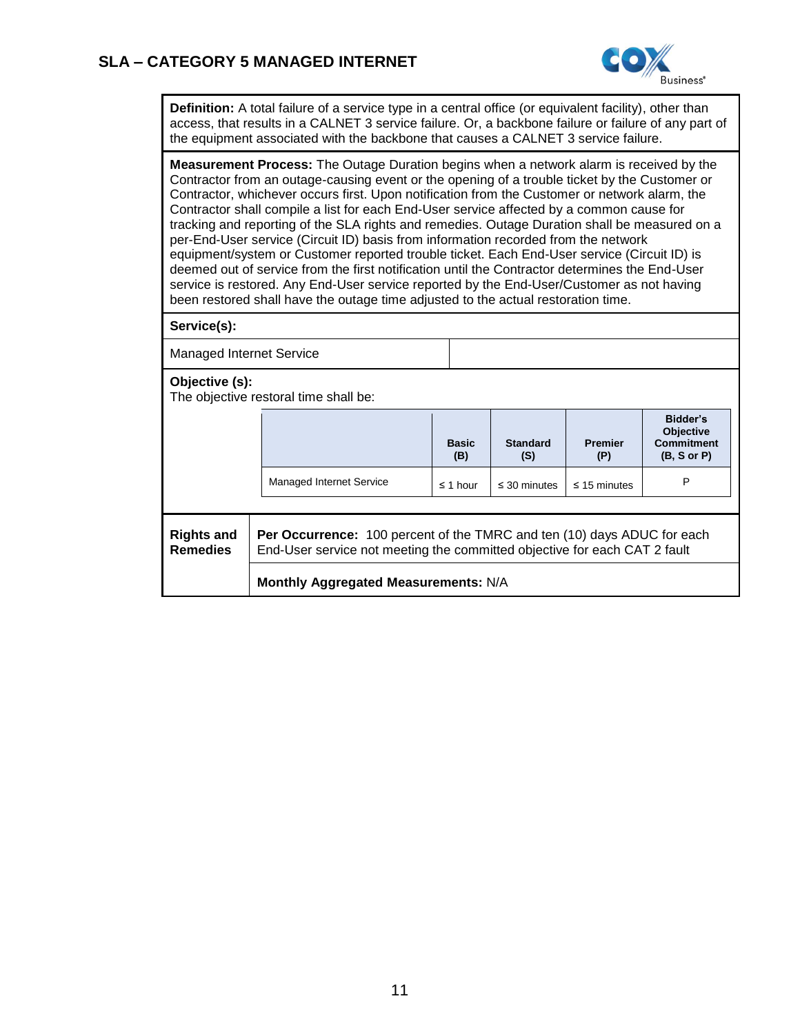

**Definition:** A total failure of a service type in a central office (or equivalent facility), other than access, that results in a CALNET 3 service failure. Or, a backbone failure or failure of any part of the equipment associated with the backbone that causes a CALNET 3 service failure.

**Measurement Process:** The Outage Duration begins when a network alarm is received by the Contractor from an outage-causing event or the opening of a trouble ticket by the Customer or Contractor, whichever occurs first. Upon notification from the Customer or network alarm, the Contractor shall compile a list for each End-User service affected by a common cause for tracking and reporting of the SLA rights and remedies. Outage Duration shall be measured on a per-End-User service (Circuit ID) basis from information recorded from the network equipment/system or Customer reported trouble ticket. Each End-User service (Circuit ID) is deemed out of service from the first notification until the Contractor determines the End-User service is restored. Any End-User service reported by the End-User/Customer as not having been restored shall have the outage time adjusted to the actual restoration time.

**Service(s):**

Managed Internet Service

**Objective (s):** 

The objective restoral time shall be:

|                                                                                                                                                                                                     |                                      | <b>Basic</b><br>(B) | <b>Standard</b><br>(S) | <b>Premier</b><br>(P) | Bidder's<br>Objective<br><b>Commitment</b><br>(B, S or P) |  |  |  |
|-----------------------------------------------------------------------------------------------------------------------------------------------------------------------------------------------------|--------------------------------------|---------------------|------------------------|-----------------------|-----------------------------------------------------------|--|--|--|
|                                                                                                                                                                                                     | <b>Managed Internet Service</b>      | $\leq$ 1 hour       | $\leq$ 30 minutes      | $\leq$ 15 minutes     | P                                                         |  |  |  |
|                                                                                                                                                                                                     |                                      |                     |                        |                       |                                                           |  |  |  |
| <b>Per Occurrence:</b> 100 percent of the TMRC and ten (10) days ADUC for each<br><b>Rights and</b><br><b>Remedies</b><br>End-User service not meeting the committed objective for each CAT 2 fault |                                      |                     |                        |                       |                                                           |  |  |  |
|                                                                                                                                                                                                     | Monthly Aggregated Measurements: N/A |                     |                        |                       |                                                           |  |  |  |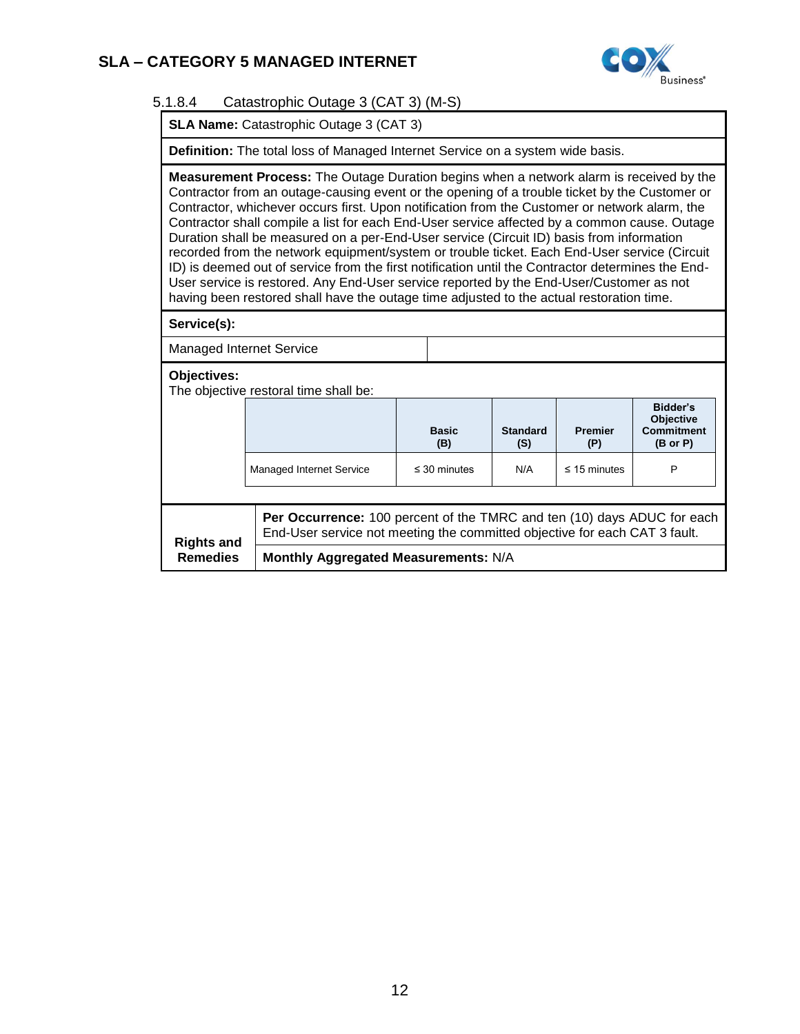

### 5.1.8.4 Catastrophic Outage 3 (CAT 3) (M-S)

**SLA Name:** Catastrophic Outage 3 (CAT 3)

**Definition:** The total loss of Managed Internet Service on a system wide basis.

**Measurement Process:** The Outage Duration begins when a network alarm is received by the Contractor from an outage-causing event or the opening of a trouble ticket by the Customer or Contractor, whichever occurs first. Upon notification from the Customer or network alarm, the Contractor shall compile a list for each End-User service affected by a common cause. Outage Duration shall be measured on a per-End-User service (Circuit ID) basis from information recorded from the network equipment/system or trouble ticket. Each End-User service (Circuit ID) is deemed out of service from the first notification until the Contractor determines the End-User service is restored. Any End-User service reported by the End-User/Customer as not having been restored shall have the outage time adjusted to the actual restoration time.

**Service(s):**

Managed Internet Service

**Objectives:**

The objective restoral time shall be:

|                          |                                                                                                                                                       | <b>Basic</b><br>(B) | <b>Standard</b><br>(S) | <b>Premier</b><br>(P) | Bidder's<br><b>Objective</b><br><b>Commitment</b><br>$(B \text{ or } P)$ |  |  |
|--------------------------|-------------------------------------------------------------------------------------------------------------------------------------------------------|---------------------|------------------------|-----------------------|--------------------------------------------------------------------------|--|--|
| Managed Internet Service |                                                                                                                                                       | $\leq$ 30 minutes   | N/A                    | $\leq$ 15 minutes     | P                                                                        |  |  |
|                          |                                                                                                                                                       |                     |                        |                       |                                                                          |  |  |
| <b>Rights and</b>        | Per Occurrence: 100 percent of the TMRC and ten (10) days ADUC for each<br>End-User service not meeting the committed objective for each CAT 3 fault. |                     |                        |                       |                                                                          |  |  |
| <b>Remedies</b>          | Monthly Aggregated Measurements: N/A                                                                                                                  |                     |                        |                       |                                                                          |  |  |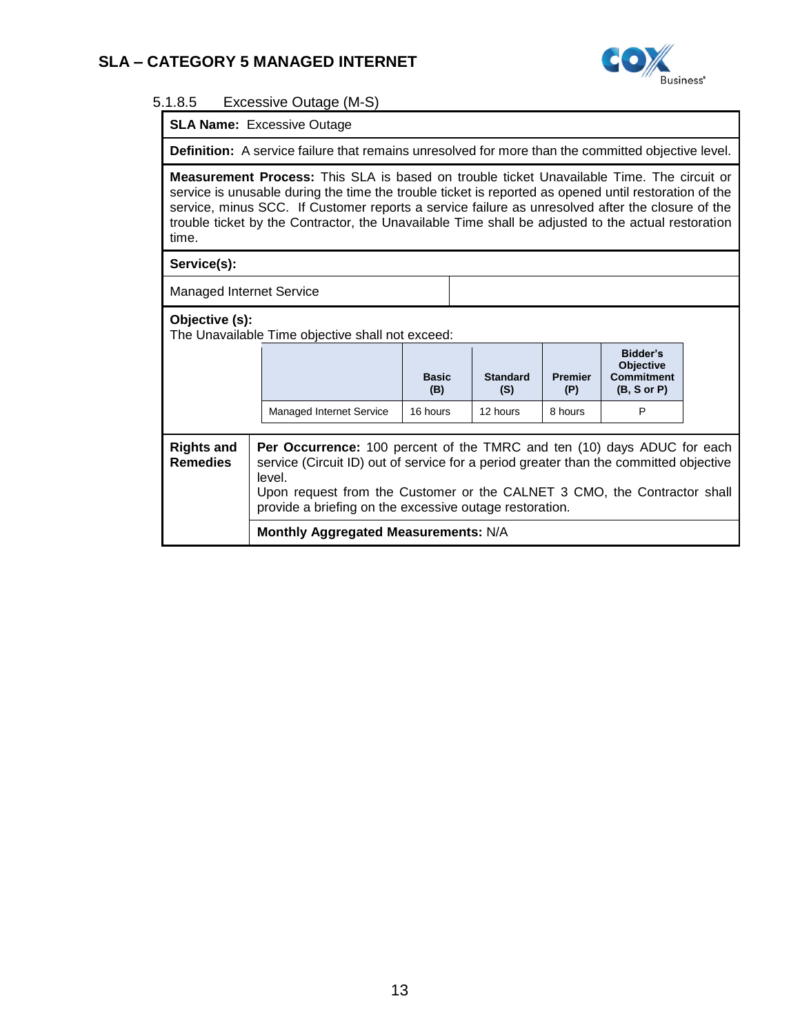

#### 5.1.8.5 Excessive Outage (M-S)

**SLA Name:** Excessive Outage

**Definition:** A service failure that remains unresolved for more than the committed objective level.

**Measurement Process:** This SLA is based on trouble ticket Unavailable Time. The circuit or service is unusable during the time the trouble ticket is reported as opened until restoration of the service, minus SCC. If Customer reports a service failure as unresolved after the closure of the trouble ticket by the Contractor, the Unavailable Time shall be adjusted to the actual restoration time.

#### **Service(s):**

Managed Internet Service

#### **Objective (s):**

The Unavailable Time objective shall not exceed:

|                                                                                                                                                                                                                                                                                                                                                           |                                      | <b>Basic</b><br>(B) | <b>Standard</b><br>(S) | <b>Premier</b><br>(P) | Bidder's<br><b>Objective</b><br><b>Commitment</b><br>(B, S or P) |  |
|-----------------------------------------------------------------------------------------------------------------------------------------------------------------------------------------------------------------------------------------------------------------------------------------------------------------------------------------------------------|--------------------------------------|---------------------|------------------------|-----------------------|------------------------------------------------------------------|--|
|                                                                                                                                                                                                                                                                                                                                                           | <b>Managed Internet Service</b>      | 16 hours            | 12 hours               | 8 hours               | P                                                                |  |
| Per Occurrence: 100 percent of the TMRC and ten (10) days ADUC for each<br><b>Rights and</b><br><b>Remedies</b><br>service (Circuit ID) out of service for a period greater than the committed objective<br>level.<br>Upon request from the Customer or the CALNET 3 CMO, the Contractor shall<br>provide a briefing on the excessive outage restoration. |                                      |                     |                        |                       |                                                                  |  |
|                                                                                                                                                                                                                                                                                                                                                           | Monthly Aggregated Measurements: N/A |                     |                        |                       |                                                                  |  |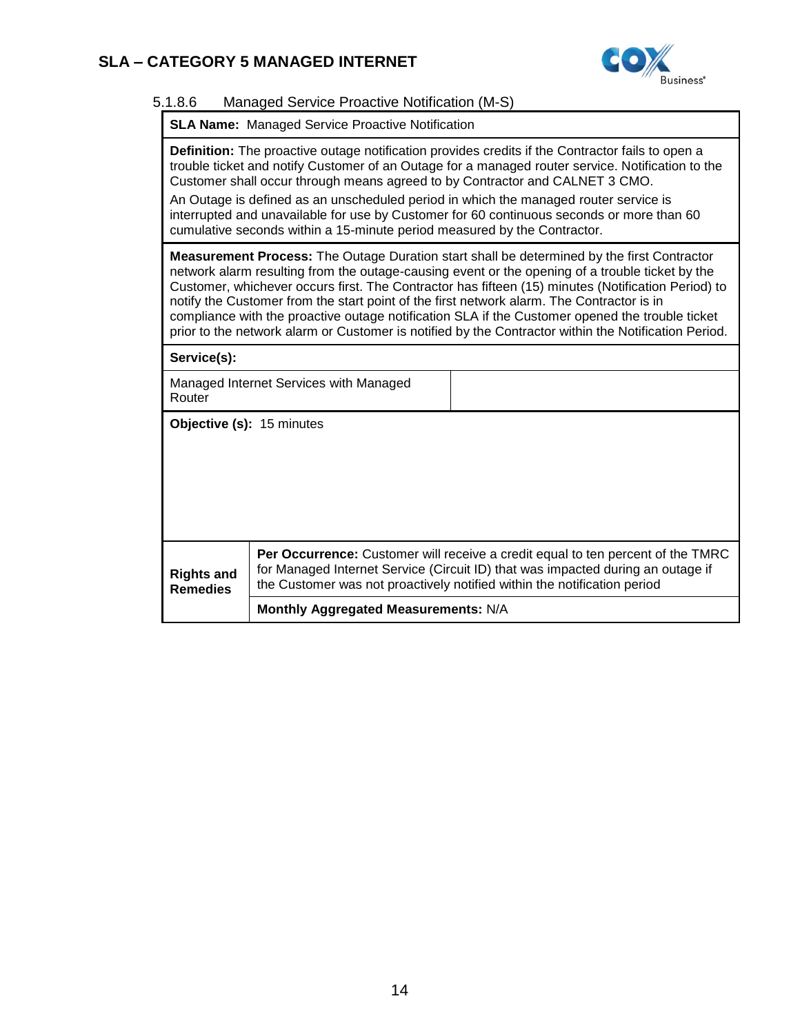

### 5.1.8.6 Managed Service Proactive Notification (M-S)

|  |  | <b>SLA Name: Managed Service Proactive Notification</b> |  |
|--|--|---------------------------------------------------------|--|
|--|--|---------------------------------------------------------|--|

**Definition:** The proactive outage notification provides credits if the Contractor fails to open a trouble ticket and notify Customer of an Outage for a managed router service. Notification to the Customer shall occur through means agreed to by Contractor and CALNET 3 CMO.

An Outage is defined as an unscheduled period in which the managed router service is interrupted and unavailable for use by Customer for 60 continuous seconds or more than 60 cumulative seconds within a 15-minute period measured by the Contractor.

**Measurement Process:** The Outage Duration start shall be determined by the first Contractor network alarm resulting from the outage-causing event or the opening of a trouble ticket by the Customer, whichever occurs first. The Contractor has fifteen (15) minutes (Notification Period) to notify the Customer from the start point of the first network alarm. The Contractor is in compliance with the proactive outage notification SLA if the Customer opened the trouble ticket prior to the network alarm or Customer is notified by the Contractor within the Notification Period.

**Service(s):** 

| Managed Internet Services with Managed |  |
|----------------------------------------|--|
| Router                                 |  |

**Objective (s):** 15 minutes

| <b>Rights and</b><br><b>Remedies</b> | <b>Per Occurrence:</b> Customer will receive a credit equal to ten percent of the TMRC<br>for Managed Internet Service (Circuit ID) that was impacted during an outage if<br>the Customer was not proactively notified within the notification period |
|--------------------------------------|-------------------------------------------------------------------------------------------------------------------------------------------------------------------------------------------------------------------------------------------------------|
|                                      | Monthly Aggregated Measurements: N/A                                                                                                                                                                                                                  |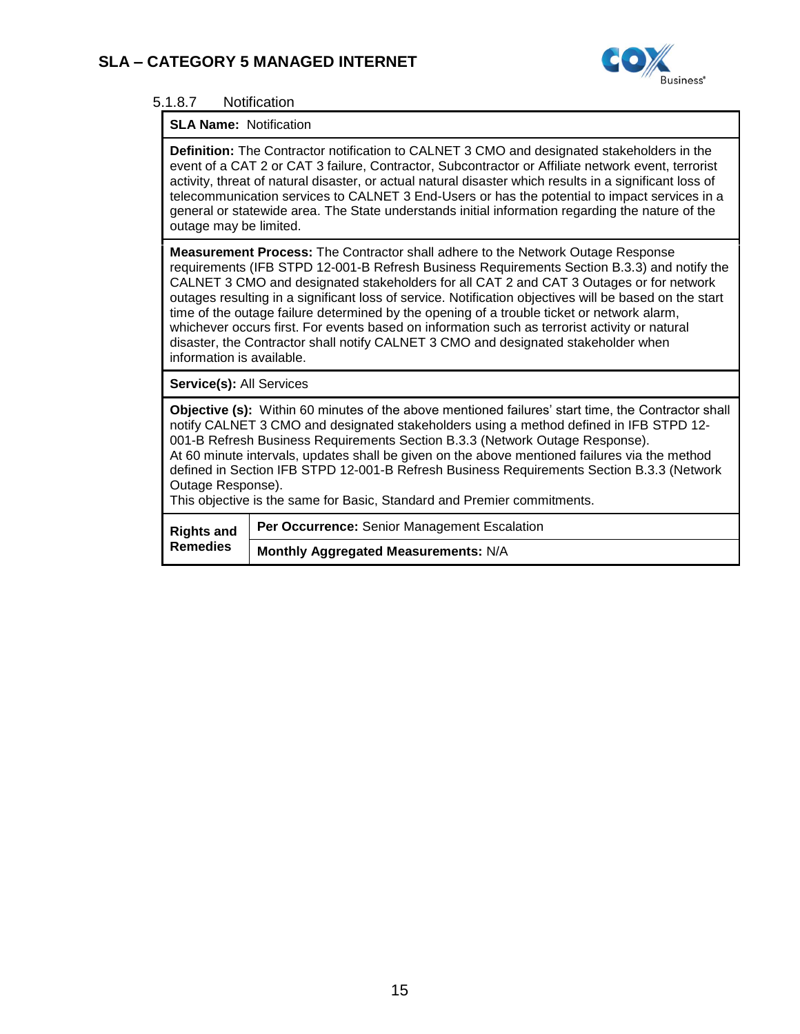

### 5.1.8.7 Notification

#### **SLA Name:** Notification

**Definition:** The Contractor notification to CALNET 3 CMO and designated stakeholders in the event of a CAT 2 or CAT 3 failure, Contractor, Subcontractor or Affiliate network event, terrorist activity, threat of natural disaster, or actual natural disaster which results in a significant loss of telecommunication services to CALNET 3 End-Users or has the potential to impact services in a general or statewide area. The State understands initial information regarding the nature of the outage may be limited.

**Measurement Process:** The Contractor shall adhere to the Network Outage Response requirements (IFB STPD 12-001-B Refresh Business Requirements Section B.3.3) and notify the CALNET 3 CMO and designated stakeholders for all CAT 2 and CAT 3 Outages or for network outages resulting in a significant loss of service. Notification objectives will be based on the start time of the outage failure determined by the opening of a trouble ticket or network alarm, whichever occurs first. For events based on information such as terrorist activity or natural disaster, the Contractor shall notify CALNET 3 CMO and designated stakeholder when information is available.

**Service(s):** All Services

**Objective (s):** Within 60 minutes of the above mentioned failures' start time, the Contractor shall notify CALNET 3 CMO and designated stakeholders using a method defined in IFB STPD 12- 001-B Refresh Business Requirements Section B.3.3 (Network Outage Response). At 60 minute intervals, updates shall be given on the above mentioned failures via the method defined in Section IFB STPD 12-001-B Refresh Business Requirements Section B.3.3 (Network Outage Response).

This objective is the same for Basic, Standard and Premier commitments.

| <b>Remedies</b> | Rights and   Per Occurrence: Senior Management Escalation |
|-----------------|-----------------------------------------------------------|
|                 | Monthly Aggregated Measurements: N/A                      |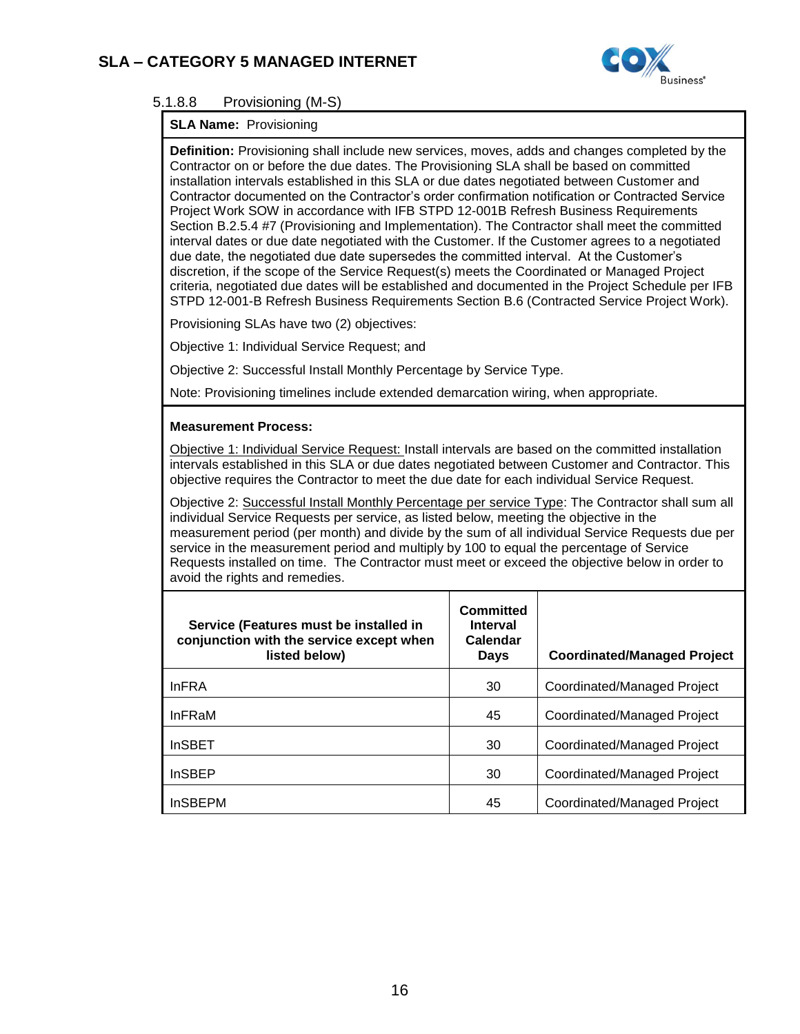

### 5.1.8.8 Provisioning (M-S)

#### **SLA Name:** Provisioning

**Definition:** Provisioning shall include new services, moves, adds and changes completed by the Contractor on or before the due dates. The Provisioning SLA shall be based on committed installation intervals established in this SLA or due dates negotiated between Customer and Contractor documented on the Contractor's order confirmation notification or Contracted Service Project Work SOW in accordance with IFB STPD 12-001B Refresh Business Requirements Section B.2.5.4 #7 (Provisioning and Implementation). The Contractor shall meet the committed interval dates or due date negotiated with the Customer. If the Customer agrees to a negotiated due date, the negotiated due date supersedes the committed interval. At the Customer's discretion, if the scope of the Service Request(s) meets the Coordinated or Managed Project criteria, negotiated due dates will be established and documented in the Project Schedule per IFB STPD 12-001-B Refresh Business Requirements Section B.6 (Contracted Service Project Work).

Provisioning SLAs have two (2) objectives:

Objective 1: Individual Service Request; and

Objective 2: Successful Install Monthly Percentage by Service Type.

Note: Provisioning timelines include extended demarcation wiring, when appropriate.

#### **Measurement Process:**

Objective 1: Individual Service Request: Install intervals are based on the committed installation intervals established in this SLA or due dates negotiated between Customer and Contractor. This objective requires the Contractor to meet the due date for each individual Service Request.

Objective 2: Successful Install Monthly Percentage per service Type: The Contractor shall sum all individual Service Requests per service, as listed below, meeting the objective in the measurement period (per month) and divide by the sum of all individual Service Requests due per service in the measurement period and multiply by 100 to equal the percentage of Service Requests installed on time. The Contractor must meet or exceed the objective below in order to avoid the rights and remedies.

| Service (Features must be installed in<br>conjunction with the service except when<br>listed below) | Committed<br><b>Interval</b><br>Calendar<br>Days | <b>Coordinated/Managed Project</b> |
|-----------------------------------------------------------------------------------------------------|--------------------------------------------------|------------------------------------|
| <b>InFRA</b>                                                                                        | 30                                               | Coordinated/Managed Project        |
| <b>InFRaM</b>                                                                                       | 45                                               | Coordinated/Managed Project        |
| <b>InSBET</b>                                                                                       | 30                                               | Coordinated/Managed Project        |
| <b>InSBEP</b>                                                                                       | 30                                               | Coordinated/Managed Project        |
| <b>InSBEPM</b>                                                                                      | 45                                               | Coordinated/Managed Project        |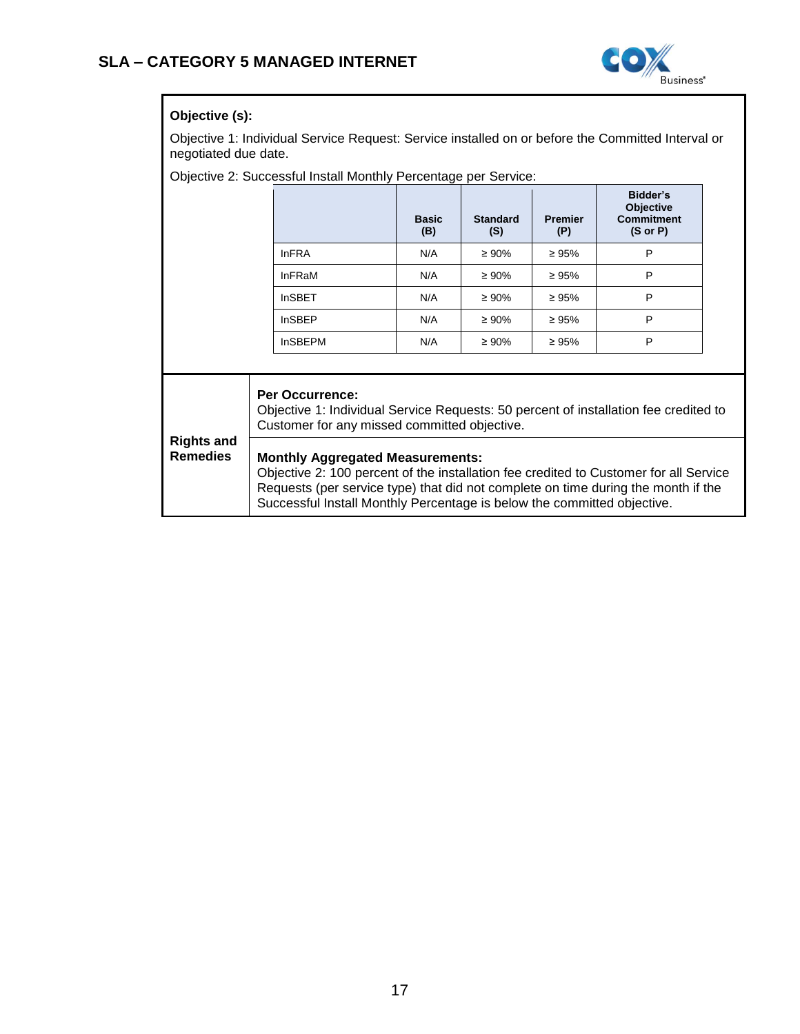

### **Objective (s):**

Objective 1: Individual Service Request: Service installed on or before the Committed Interval or negotiated due date.

Objective 2: Successful Install Monthly Percentage per Service:

|                                      |                                                                                                                                                                                                                                                                                                  | <b>Basic</b><br>(B) | <b>Standard</b><br>(S) | <b>Premier</b><br>(P) | Bidder's<br>Objective<br><b>Commitment</b><br>$(S \text{ or } P)$ |  |
|--------------------------------------|--------------------------------------------------------------------------------------------------------------------------------------------------------------------------------------------------------------------------------------------------------------------------------------------------|---------------------|------------------------|-----------------------|-------------------------------------------------------------------|--|
|                                      | <b>InFRA</b>                                                                                                                                                                                                                                                                                     | N/A                 | $\geq 90\%$            | $\geq 95\%$           | P                                                                 |  |
|                                      | <b>InFRaM</b>                                                                                                                                                                                                                                                                                    | N/A                 | $\geq 90\%$            | $\geq 95\%$           | P                                                                 |  |
|                                      | <b>InSBET</b>                                                                                                                                                                                                                                                                                    | N/A                 | $\geq 90\%$            | $\geq 95\%$           | P                                                                 |  |
|                                      | <b>InSBEP</b>                                                                                                                                                                                                                                                                                    | N/A                 | $\geq 90\%$            | $\geq 95\%$           | P                                                                 |  |
|                                      | <b>InSBEPM</b>                                                                                                                                                                                                                                                                                   | N/A                 | $\geq 90\%$            | $\geq 95\%$           | P                                                                 |  |
|                                      |                                                                                                                                                                                                                                                                                                  |                     |                        |                       |                                                                   |  |
| <b>Rights and</b><br><b>Remedies</b> | <b>Per Occurrence:</b><br>Objective 1: Individual Service Requests: 50 percent of installation fee credited to<br>Customer for any missed committed objective.                                                                                                                                   |                     |                        |                       |                                                                   |  |
|                                      | <b>Monthly Aggregated Measurements:</b><br>Objective 2: 100 percent of the installation fee credited to Customer for all Service<br>Requests (per service type) that did not complete on time during the month if the<br>Successful Install Monthly Percentage is below the committed objective. |                     |                        |                       |                                                                   |  |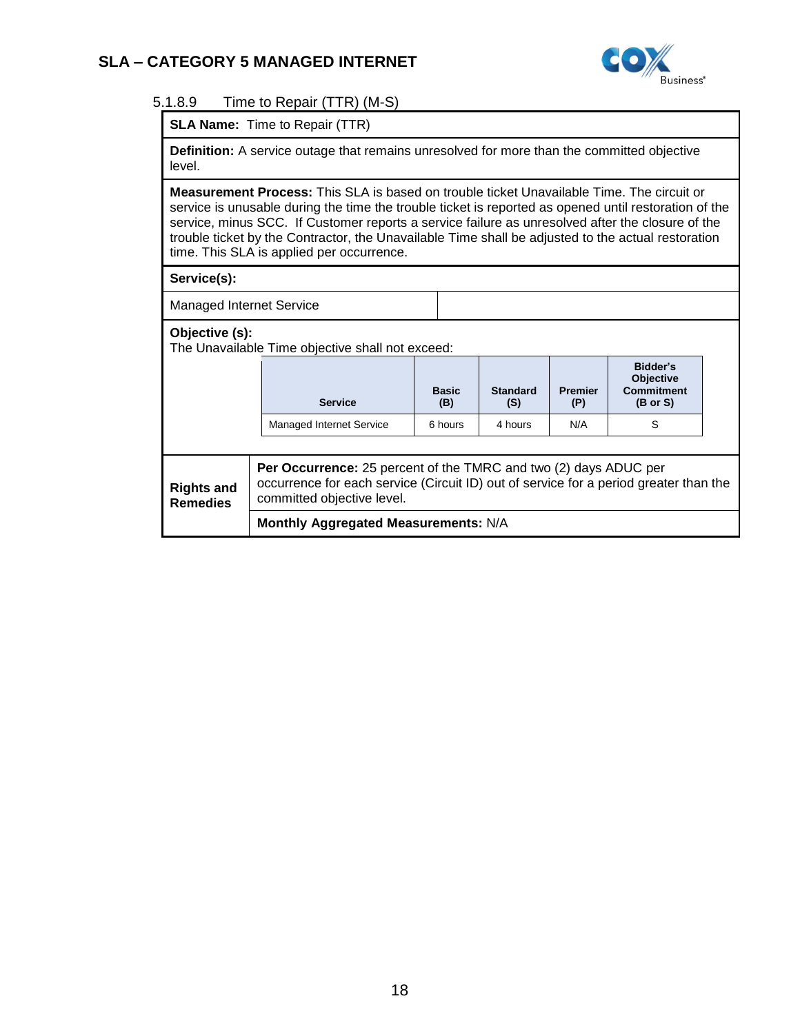

### 5.1.8.9 Time to Repair (TTR) (M-S)

|  | <b>SLA Name:</b> Time to Repair (TTR) |
|--|---------------------------------------|
|--|---------------------------------------|

**Definition:** A service outage that remains unresolved for more than the committed objective level.

**Measurement Process:** This SLA is based on trouble ticket Unavailable Time. The circuit or service is unusable during the time the trouble ticket is reported as opened until restoration of the service, minus SCC. If Customer reports a service failure as unresolved after the closure of the trouble ticket by the Contractor, the Unavailable Time shall be adjusted to the actual restoration time. This SLA is applied per occurrence.

#### **Service(s):**

Managed Internet Service

**Objective (s):** 

The Unavailable Time objective shall not exceed:

|                                      | <b>Service</b>                                                                                                                                                                                 | <b>Basic</b><br>(B) | <b>Standard</b><br>(S) | <b>Premier</b><br>(P) | Bidder's<br><b>Objective</b><br><b>Commitment</b><br>$(B \text{ or } S)$ |  |
|--------------------------------------|------------------------------------------------------------------------------------------------------------------------------------------------------------------------------------------------|---------------------|------------------------|-----------------------|--------------------------------------------------------------------------|--|
|                                      | Managed Internet Service                                                                                                                                                                       | 6 hours             | 4 hours                | N/A                   | S                                                                        |  |
|                                      |                                                                                                                                                                                                |                     |                        |                       |                                                                          |  |
| <b>Rights and</b><br><b>Remedies</b> | <b>Per Occurrence:</b> 25 percent of the TMRC and two (2) days ADUC per<br>occurrence for each service (Circuit ID) out of service for a period greater than the<br>committed objective level. |                     |                        |                       |                                                                          |  |
|                                      | Monthly Aggregated Measurements: N/A                                                                                                                                                           |                     |                        |                       |                                                                          |  |